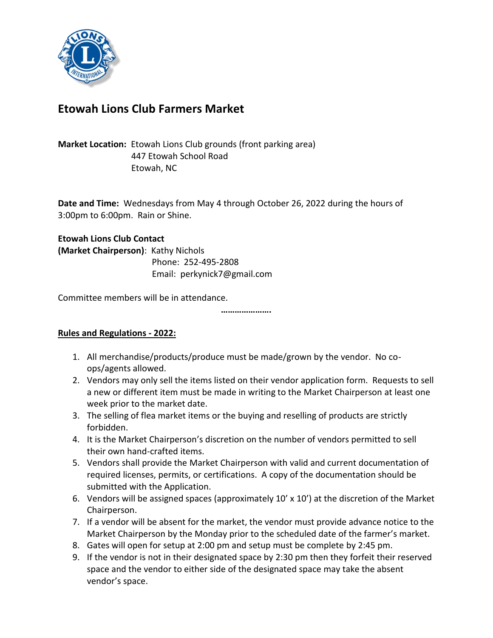

# **Etowah Lions Club Farmers Market**

# **Market Location:** Etowah Lions Club grounds (front parking area) 447 Etowah School Road Etowah, NC

**Date and Time:** Wednesdays from May 4 through October 26, 2022 during the hours of 3:00pm to 6:00pm. Rain or Shine.

#### **Etowah Lions Club Contact**

**(Market Chairperson)**: Kathy Nichols Phone: 252-495-2808 Email: perkynick7@gmail.com

Committee members will be in attendance.

**………………….**

## **Rules and Regulations - 2022:**

- 1. All merchandise/products/produce must be made/grown by the vendor. No coops/agents allowed.
- 2. Vendors may only sell the items listed on their vendor application form. Requests to sell a new or different item must be made in writing to the Market Chairperson at least one week prior to the market date.
- 3. The selling of flea market items or the buying and reselling of products are strictly forbidden.
- 4. It is the Market Chairperson's discretion on the number of vendors permitted to sell their own hand-crafted items.
- 5. Vendors shall provide the Market Chairperson with valid and current documentation of required licenses, permits, or certifications. A copy of the documentation should be submitted with the Application.
- 6. Vendors will be assigned spaces (approximately  $10' \times 10'$ ) at the discretion of the Market Chairperson.
- 7. If a vendor will be absent for the market, the vendor must provide advance notice to the Market Chairperson by the Monday prior to the scheduled date of the farmer's market.
- 8. Gates will open for setup at 2:00 pm and setup must be complete by 2:45 pm.
- 9. If the vendor is not in their designated space by 2:30 pm then they forfeit their reserved space and the vendor to either side of the designated space may take the absent vendor's space.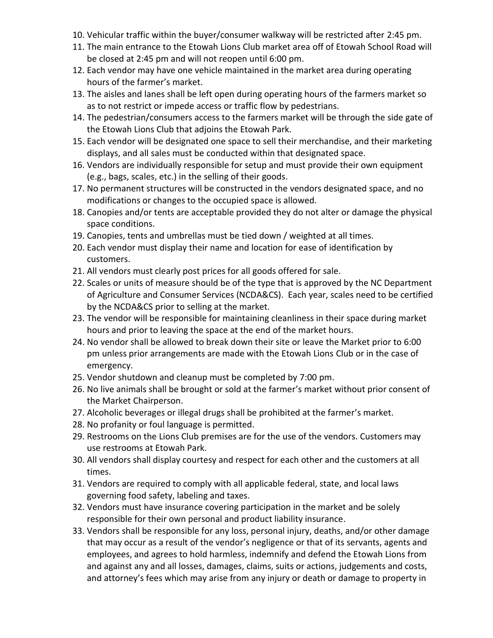- 10. Vehicular traffic within the buyer/consumer walkway will be restricted after 2:45 pm.
- 11. The main entrance to the Etowah Lions Club market area off of Etowah School Road will be closed at 2:45 pm and will not reopen until 6:00 pm.
- 12. Each vendor may have one vehicle maintained in the market area during operating hours of the farmer's market.
- 13. The aisles and lanes shall be left open during operating hours of the farmers market so as to not restrict or impede access or traffic flow by pedestrians.
- 14. The pedestrian/consumers access to the farmers market will be through the side gate of the Etowah Lions Club that adjoins the Etowah Park.
- 15. Each vendor will be designated one space to sell their merchandise, and their marketing displays, and all sales must be conducted within that designated space.
- 16. Vendors are individually responsible for setup and must provide their own equipment (e.g., bags, scales, etc.) in the selling of their goods.
- 17. No permanent structures will be constructed in the vendors designated space, and no modifications or changes to the occupied space is allowed.
- 18. Canopies and/or tents are acceptable provided they do not alter or damage the physical space conditions.
- 19. Canopies, tents and umbrellas must be tied down / weighted at all times.
- 20. Each vendor must display their name and location for ease of identification by customers.
- 21. All vendors must clearly post prices for all goods offered for sale.
- 22. Scales or units of measure should be of the type that is approved by the NC Department of Agriculture and Consumer Services (NCDA&CS). Each year, scales need to be certified by the NCDA&CS prior to selling at the market.
- 23. The vendor will be responsible for maintaining cleanliness in their space during market hours and prior to leaving the space at the end of the market hours.
- 24. No vendor shall be allowed to break down their site or leave the Market prior to 6:00 pm unless prior arrangements are made with the Etowah Lions Club or in the case of emergency.
- 25. Vendor shutdown and cleanup must be completed by 7:00 pm.
- 26. No live animals shall be brought or sold at the farmer's market without prior consent of the Market Chairperson.
- 27. Alcoholic beverages or illegal drugs shall be prohibited at the farmer's market.
- 28. No profanity or foul language is permitted.
- 29. Restrooms on the Lions Club premises are for the use of the vendors. Customers may use restrooms at Etowah Park.
- 30. All vendors shall display courtesy and respect for each other and the customers at all times.
- 31. Vendors are required to comply with all applicable federal, state, and local laws governing food safety, labeling and taxes.
- 32. Vendors must have insurance covering participation in the market and be solely responsible for their own personal and product liability insurance.
- 33. Vendors shall be responsible for any loss, personal injury, deaths, and/or other damage that may occur as a result of the vendor's negligence or that of its servants, agents and employees, and agrees to hold harmless, indemnify and defend the Etowah Lions from and against any and all losses, damages, claims, suits or actions, judgements and costs, and attorney's fees which may arise from any injury or death or damage to property in